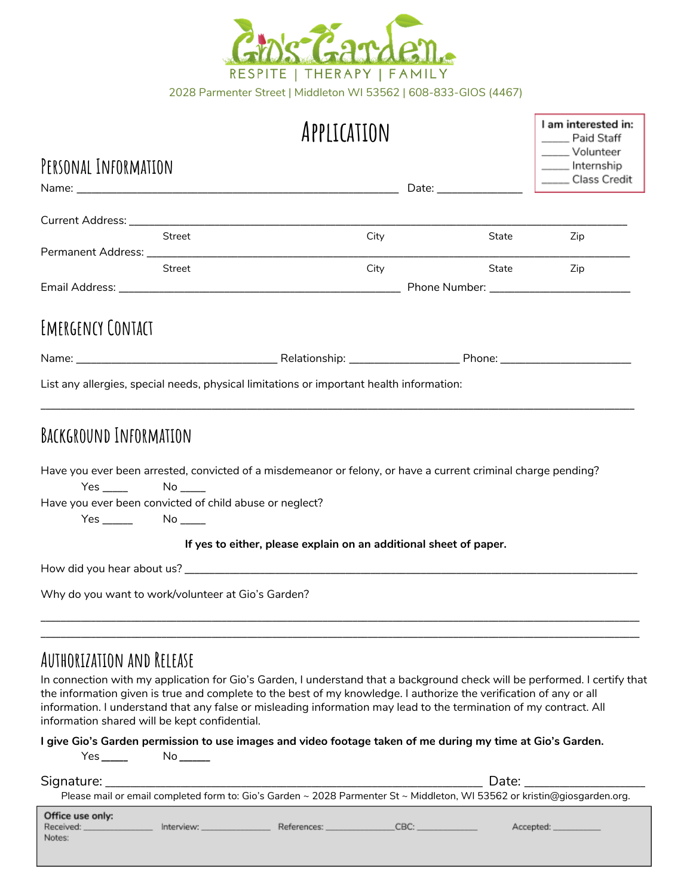

2028 Parmenter Street | Middleton WI 53562 | 608-833-GIOS (4467)

| I am interested in: |  |  |  |  |
|---------------------|--|--|--|--|
| Paid Staff          |  |  |  |  |
| Volunteer           |  |  |  |  |
| Internship          |  |  |  |  |
| <b>Class Credit</b> |  |  |  |  |

| PERSONAL INFORMATION                                                                                                                                                                        |                                                                                                                                                                                                                               |                                                                                          |       | __ Internship      |  |  |
|---------------------------------------------------------------------------------------------------------------------------------------------------------------------------------------------|-------------------------------------------------------------------------------------------------------------------------------------------------------------------------------------------------------------------------------|------------------------------------------------------------------------------------------|-------|--------------------|--|--|
|                                                                                                                                                                                             | Date: and the state of the state of the state of the state of the state of the state of the state of the state of the state of the state of the state of the state of the state of the state of the state of the state of the |                                                                                          |       | _____ Class Credit |  |  |
|                                                                                                                                                                                             |                                                                                                                                                                                                                               |                                                                                          |       |                    |  |  |
|                                                                                                                                                                                             | Street                                                                                                                                                                                                                        | City                                                                                     | State | Zip                |  |  |
|                                                                                                                                                                                             |                                                                                                                                                                                                                               |                                                                                          |       |                    |  |  |
|                                                                                                                                                                                             | Street                                                                                                                                                                                                                        | City                                                                                     | State | Zip                |  |  |
|                                                                                                                                                                                             |                                                                                                                                                                                                                               |                                                                                          |       |                    |  |  |
| EMERGENCY CONTACT                                                                                                                                                                           |                                                                                                                                                                                                                               |                                                                                          |       |                    |  |  |
|                                                                                                                                                                                             |                                                                                                                                                                                                                               |                                                                                          |       |                    |  |  |
|                                                                                                                                                                                             |                                                                                                                                                                                                                               | List any allergies, special needs, physical limitations or important health information: |       |                    |  |  |
| BACKGROUND INFORMATION                                                                                                                                                                      |                                                                                                                                                                                                                               |                                                                                          |       |                    |  |  |
| Have you ever been arrested, convicted of a misdemeanor or felony, or have a current criminal charge pending?<br>$Yes$ $No$ $No$<br>Have you ever been convicted of child abuse or neglect? |                                                                                                                                                                                                                               |                                                                                          |       |                    |  |  |
| $Yes \_\_\_\_\_\\$ No $\_\_\_\_\_\_\_\$                                                                                                                                                     |                                                                                                                                                                                                                               |                                                                                          |       |                    |  |  |
| If yes to either, please explain on an additional sheet of paper.                                                                                                                           |                                                                                                                                                                                                                               |                                                                                          |       |                    |  |  |
|                                                                                                                                                                                             |                                                                                                                                                                                                                               |                                                                                          |       |                    |  |  |
| Why do you want to work/volunteer at Gio's Garden?                                                                                                                                          |                                                                                                                                                                                                                               |                                                                                          |       |                    |  |  |

## **Authorization and Release**

In connection with my application for Gio's Garden, I understand that a background check will be performed. I certify that the information given is true and complete to the best of my knowledge. I authorize the verification of any or all information. I understand that any false or misleading information may lead to the termination of my contract. All information shared will be kept confidential.

\_\_\_\_\_\_\_\_\_\_\_\_\_\_\_\_\_\_\_\_\_\_\_\_\_\_\_\_\_\_\_\_\_\_\_\_\_\_\_\_\_\_\_\_\_\_\_\_\_\_\_\_\_\_\_\_\_\_\_\_\_\_\_\_\_\_\_\_\_\_\_\_\_\_\_\_\_\_\_\_\_\_\_\_\_\_\_\_\_\_\_\_\_\_\_\_\_\_\_\_\_\_\_\_\_\_\_\_\_\_\_\_\_\_\_\_\_\_\_

I give Gio's Garden permission to use images and video footage taken of me during my time at Gio's Garden.

| Yes                                                                                                                       | No compo |  |                                         |                                                                                                                                                                                                                                |  |
|---------------------------------------------------------------------------------------------------------------------------|----------|--|-----------------------------------------|--------------------------------------------------------------------------------------------------------------------------------------------------------------------------------------------------------------------------------|--|
|                                                                                                                           |          |  |                                         | Date: the contract of the contract of the contract of the contract of the contract of the contract of the contract of the contract of the contract of the contract of the contract of the contract of the contract of the cont |  |
| Please mail or email completed form to: Gio's Garden ~ 2028 Parmenter St ~ Middleton, WI 53562 or kristin@giosgarden.org. |          |  |                                         |                                                                                                                                                                                                                                |  |
| Office use only:<br>Received: _________________<br>Notes:                                                                 |          |  | <u>Interview: References: CBC:</u> CBC: | Accepted: __________                                                                                                                                                                                                           |  |